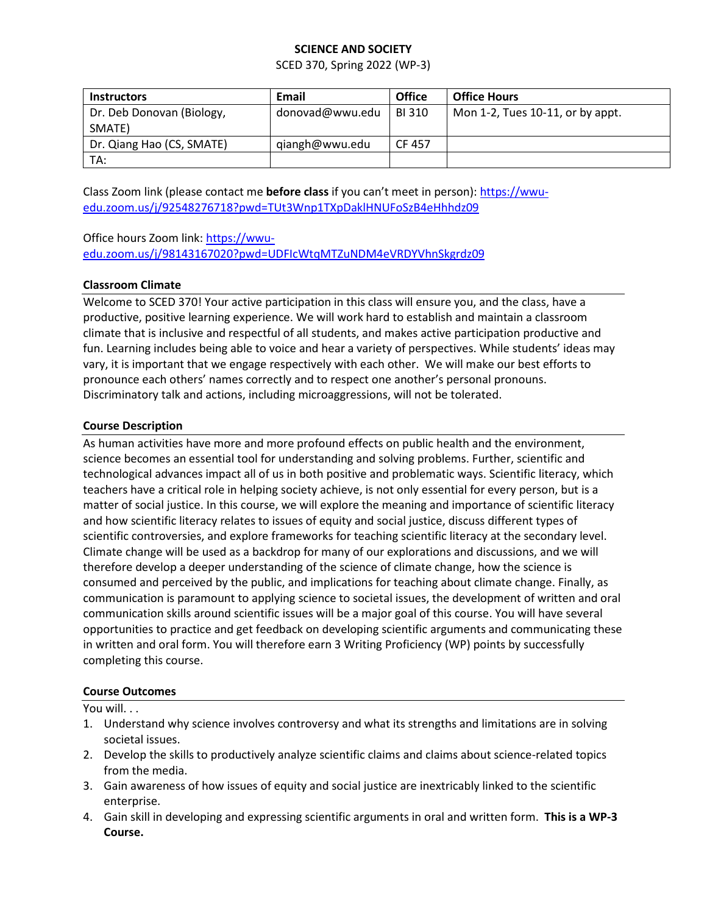# **SCIENCE AND SOCIETY**

SCED 370, Spring 2022 (WP-3)

| <b>Instructors</b>                  | Email           | <b>Office</b> | <b>Office Hours</b>                 |
|-------------------------------------|-----------------|---------------|-------------------------------------|
| Dr. Deb Donovan (Biology,<br>SMATE) | donovad@wwu.edu | BI 310        | Mon 1-2, Tues $10-11$ , or by appt. |
| Dr. Qiang Hao (CS, SMATE)           | qiangh@wwu.edu  | CF 457        |                                     |
| TA:                                 |                 |               |                                     |

Class Zoom link (please contact me **before class** if you can't meet in person)[: https://wwu](https://wwu-edu.zoom.us/j/92548276718?pwd=TUt3Wnp1TXpDaklHNUFoSzB4eHhhdz09)[edu.zoom.us/j/92548276718?pwd=TUt3Wnp1TXpDaklHNUFoSzB4eHhhdz09](https://wwu-edu.zoom.us/j/92548276718?pwd=TUt3Wnp1TXpDaklHNUFoSzB4eHhhdz09)

# Office hours Zoom link: [https://wwu](https://wwu-edu.zoom.us/j/98143167020?pwd=UDFIcWtqMTZuNDM4eVRDYVhnSkgrdz09)[edu.zoom.us/j/98143167020?pwd=UDFIcWtqMTZuNDM4eVRDYVhnSkgrdz09](https://wwu-edu.zoom.us/j/98143167020?pwd=UDFIcWtqMTZuNDM4eVRDYVhnSkgrdz09)

# **Classroom Climate**

Welcome to SCED 370! Your active participation in this class will ensure you, and the class, have a productive, positive learning experience. We will work hard to establish and maintain a classroom climate that is inclusive and respectful of all students, and makes active participation productive and fun. Learning includes being able to voice and hear a variety of perspectives. While students' ideas may vary, it is important that we engage respectively with each other. We will make our best efforts to pronounce each others' names correctly and to respect one another's personal pronouns. Discriminatory talk and actions, including microaggressions, will not be tolerated.

# **Course Description**

As human activities have more and more profound effects on public health and the environment, science becomes an essential tool for understanding and solving problems. Further, scientific and technological advances impact all of us in both positive and problematic ways. Scientific literacy, which teachers have a critical role in helping society achieve, is not only essential for every person, but is a matter of social justice. In this course, we will explore the meaning and importance of scientific literacy and how scientific literacy relates to issues of equity and social justice, discuss different types of scientific controversies, and explore frameworks for teaching scientific literacy at the secondary level. Climate change will be used as a backdrop for many of our explorations and discussions, and we will therefore develop a deeper understanding of the science of climate change, how the science is consumed and perceived by the public, and implications for teaching about climate change. Finally, as communication is paramount to applying science to societal issues, the development of written and oral communication skills around scientific issues will be a major goal of this course. You will have several opportunities to practice and get feedback on developing scientific arguments and communicating these in written and oral form. You will therefore earn 3 Writing Proficiency (WP) points by successfully completing this course.

#### **Course Outcomes**

You will. . .

- 1. Understand why science involves controversy and what its strengths and limitations are in solving societal issues.
- 2. Develop the skills to productively analyze scientific claims and claims about science-related topics from the media.
- 3. Gain awareness of how issues of equity and social justice are inextricably linked to the scientific enterprise.
- 4. Gain skill in developing and expressing scientific arguments in oral and written form. **This is a WP-3 Course.**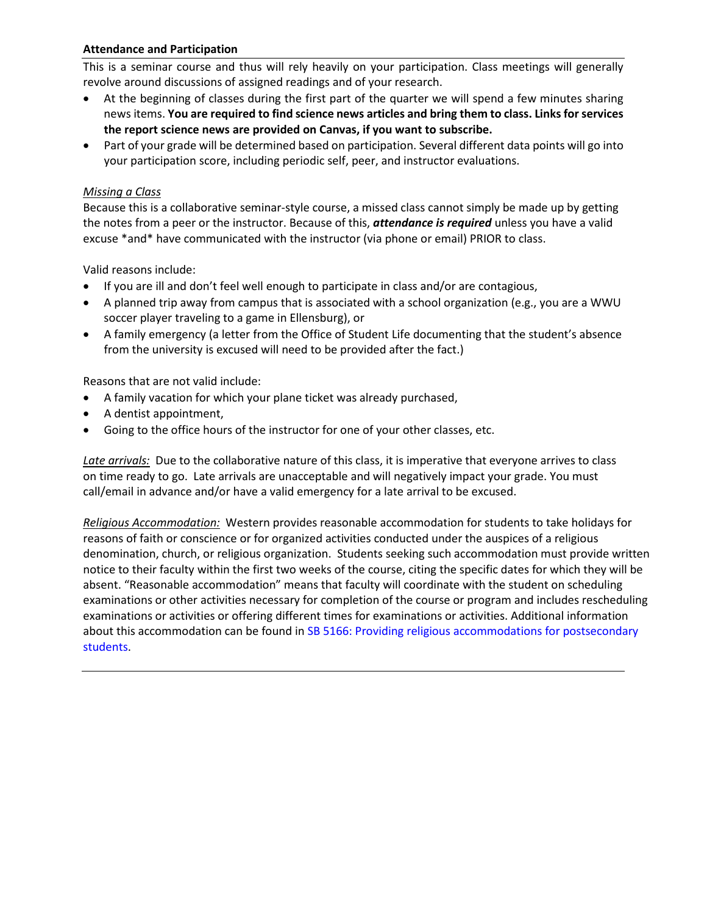# **Attendance and Participation**

This is a seminar course and thus will rely heavily on your participation. Class meetings will generally revolve around discussions of assigned readings and of your research.

- At the beginning of classes during the first part of the quarter we will spend a few minutes sharing news items. **You are required to find science news articles and bring them to class. Links for services the report science news are provided on Canvas, if you want to subscribe.**
- Part of your grade will be determined based on participation. Several different data points will go into your participation score, including periodic self, peer, and instructor evaluations.

## *Missing a Class*

Because this is a collaborative seminar-style course, a missed class cannot simply be made up by getting the notes from a peer or the instructor. Because of this, *attendance is required* unless you have a valid excuse \*and\* have communicated with the instructor (via phone or email) PRIOR to class.

Valid reasons include:

- If you are ill and don't feel well enough to participate in class and/or are contagious,
- A planned trip away from campus that is associated with a school organization (e.g., you are a WWU soccer player traveling to a game in Ellensburg), or
- A family emergency (a letter from the Office of Student Life documenting that the student's absence from the university is excused will need to be provided after the fact.)

Reasons that are not valid include:

- A family vacation for which your plane ticket was already purchased,
- A dentist appointment,
- Going to the office hours of the instructor for one of your other classes, etc.

*Late arrivals:* Due to the collaborative nature of this class, it is imperative that everyone arrives to class on time ready to go. Late arrivals are unacceptable and will negatively impact your grade. You must call/email in advance and/or have a valid emergency for a late arrival to be excused.

*Religious Accommodation:* Western provides reasonable accommodation for students to take holidays for reasons of faith or conscience or for organized activities conducted under the auspices of a religious denomination, church, or religious organization. Students seeking such accommodation must provide written notice to their faculty within the first two weeks of the course, citing the specific dates for which they will be absent. "Reasonable accommodation" means that faculty will coordinate with the student on scheduling examinations or other activities necessary for completion of the course or program and includes rescheduling examinations or activities or offering different times for examinations or activities. Additional information about this accommodation can be found in SB 5166: Providing religious accommodations for postsecondary [students.](https://app.leg.wa.gov/billsummary?BillNumber=5166&Initiative=false&Year=2019)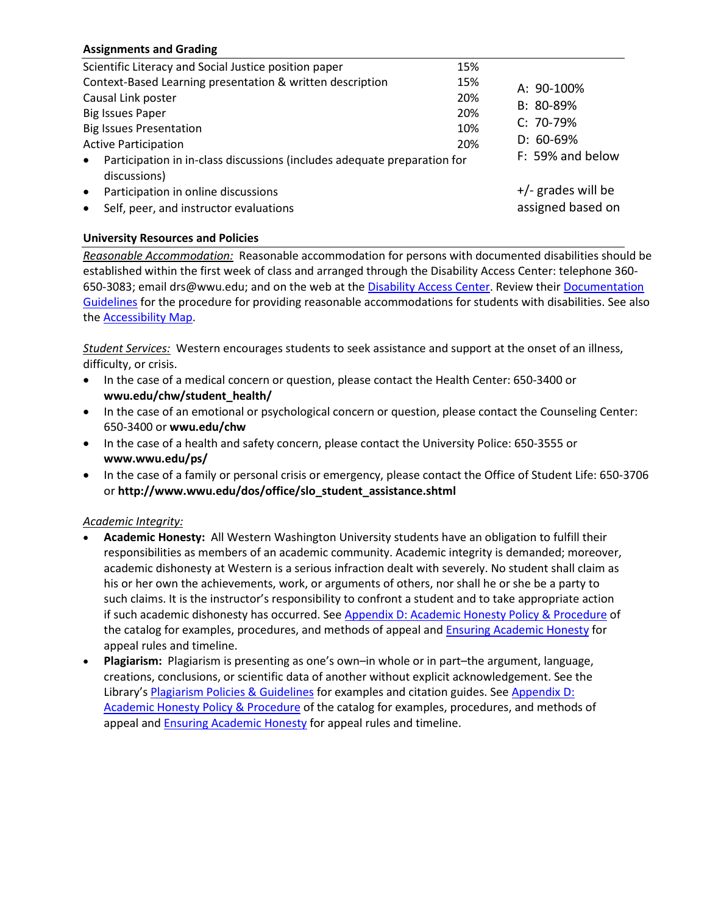# **Assignments and Grading**

| Scientific Literacy and Social Justice position paper                                                                                                  | 15%               |                                                |
|--------------------------------------------------------------------------------------------------------------------------------------------------------|-------------------|------------------------------------------------|
| Context-Based Learning presentation & written description<br>Causal Link poster<br><b>Big Issues Paper</b>                                             | 15%<br>20%<br>20% | A: 90-100%<br>B: 80-89%                        |
| <b>Big Issues Presentation</b><br><b>Active Participation</b><br>Participation in in-class discussions (includes adequate preparation for<br>$\bullet$ | 10%<br>20%        | $C: 70-79%$<br>$D: 60-69%$<br>F: 59% and below |
| discussions)<br>Participation in online discussions<br>$\bullet$<br>Self, peer, and instructor evaluations<br>$\bullet$                                |                   | $+/-$ grades will be<br>assigned based on      |

# **University Resources and Policies**

*Reasonable Accommodation:* Reasonable accommodation for persons with documented disabilities should be established within the first week of class and arranged through the Disability Access Center: telephone 360- 650-3083; email drs@wwu.edu; and on the web at the [Disability Access Center.](https://disability.wwu.edu/) Review their [Documentation](https://disability.wwu.edu/documentation/)  [Guidelines](https://disability.wwu.edu/documentation/) for the procedure for providing reasonable accommodations for students with disabilities. See also the [Accessibility Map.](http://www.wwu.edu/map/?features=accessibility)

*Student Services:* Western encourages students to seek assistance and support at the onset of an illness, difficulty, or crisis.

- In the case of a medical concern or question, please contact the Health Center: 650-3400 or **wwu.edu/chw/student\_health/**
- In the case of an emotional or psychological concern or question, please contact the Counseling Center: 650-3400 or **wwu.edu/chw**
- In the case of a health and safety concern, please contact the University Police: 650-3555 or **www.wwu.edu/ps/**
- In the case of a family or personal crisis or emergency, please contact the Office of Student Life: 650-3706 or **http://www.wwu.edu/dos/office/slo\_student\_assistance.shtml**

#### *Academic Integrity:*

- **Academic Honesty:** All Western Washington University students have an obligation to fulfill their responsibilities as members of an academic community. Academic integrity is demanded; moreover, academic dishonesty at Western is a serious infraction dealt with severely. No student shall claim as his or her own the achievements, work, or arguments of others, nor shall he or she be a party to such claims. It is the instructor's responsibility to confront a student and to take appropriate action if such academic dishonesty has occurred. See [Appendix D: Academic Honesty Policy & Procedure](https://catalog.wwu.edu/content.php?catoid=15&navoid=3367) of the catalog for examples, procedures, and methods of appeal and **[Ensuring Academic Honesty](http://www.wwu.edu/registrar/contact.shtml)** for appeal rules and timeline.
- **Plagiarism:** Plagiarism is presenting as one's own–in whole or in part–the argument, language, creations, conclusions, or scientific data of another without explicit acknowledgement. See the Library's [Plagiarism Policies & Guidelines](http://libguides.wwu.edu/plagiarism) for examples and citation guides. See Appendix D: [Academic Honesty Policy & Procedure](https://catalog.wwu.edu/content.php?catoid=15&navoid=3367) of the catalog for examples, procedures, and methods of appeal and **[Ensuring Academic Honesty](http://www.wwu.edu/registrar/contact.shtml)** for appeal rules and timeline.